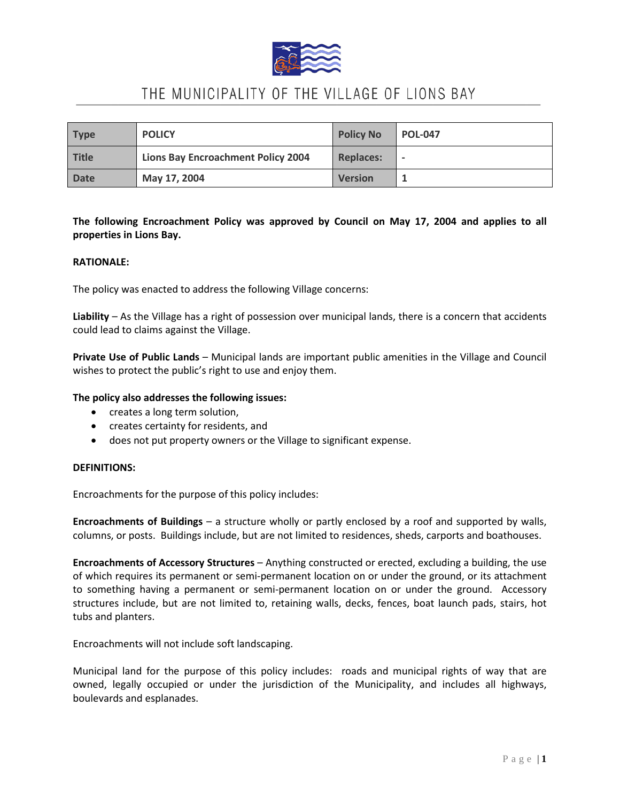

# THE MUNICIPALITY OF THE VILLAGE OF LIONS BAY

| <b>Type</b> | <b>POLICY</b>                      | <b>Policy No</b> | <b>POL-047</b>           |
|-------------|------------------------------------|------------------|--------------------------|
| Title       | Lions Bay Encroachment Policy 2004 | <b>Replaces:</b> | $\overline{\phantom{0}}$ |
| <b>Date</b> | May 17, 2004                       | <b>Version</b>   |                          |

### **The following Encroachment Policy was approved by Council on May 17, 2004 and applies to all properties in Lions Bay.**

### **RATIONALE:**

The policy was enacted to address the following Village concerns:

**Liability** – As the Village has a right of possession over municipal lands, there is a concern that accidents could lead to claims against the Village.

**Private Use of Public Lands** – Municipal lands are important public amenities in the Village and Council wishes to protect the public's right to use and enjoy them.

### **The policy also addresses the following issues:**

- creates a long term solution,
- creates certainty for residents, and
- does not put property owners or the Village to significant expense.

### **DEFINITIONS:**

Encroachments for the purpose of this policy includes:

**Encroachments of Buildings** – a structure wholly or partly enclosed by a roof and supported by walls, columns, or posts. Buildings include, but are not limited to residences, sheds, carports and boathouses.

**Encroachments of Accessory Structures** – Anything constructed or erected, excluding a building, the use of which requires its permanent or semi-permanent location on or under the ground, or its attachment to something having a permanent or semi-permanent location on or under the ground. Accessory structures include, but are not limited to, retaining walls, decks, fences, boat launch pads, stairs, hot tubs and planters.

Encroachments will not include soft landscaping.

Municipal land for the purpose of this policy includes: roads and municipal rights of way that are owned, legally occupied or under the jurisdiction of the Municipality, and includes all highways, boulevards and esplanades.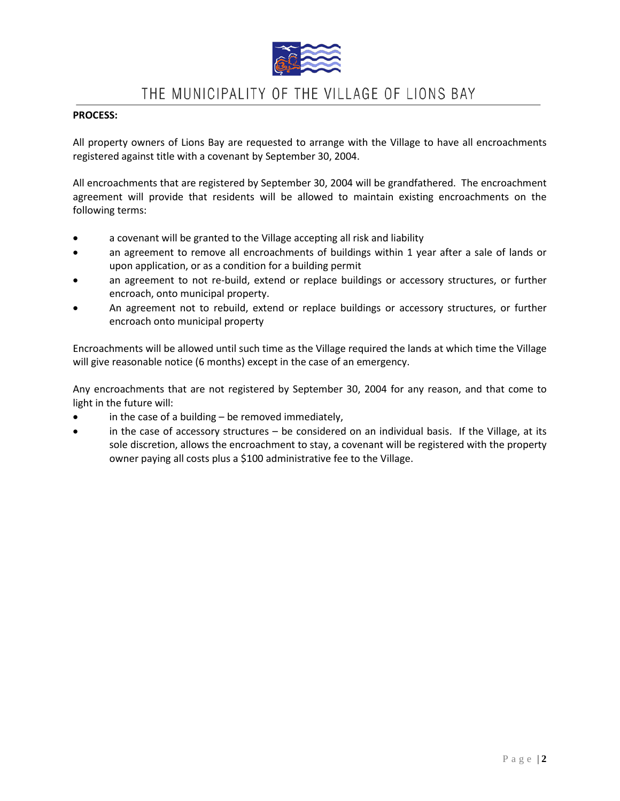

## THE MUNICIPALITY OF THE VILLAGE OF LIONS BAY

### **PROCESS:**

All property owners of Lions Bay are requested to arrange with the Village to have all encroachments registered against title with a covenant by September 30, 2004.

All encroachments that are registered by September 30, 2004 will be grandfathered. The encroachment agreement will provide that residents will be allowed to maintain existing encroachments on the following terms:

- a covenant will be granted to the Village accepting all risk and liability
- an agreement to remove all encroachments of buildings within 1 year after a sale of lands or upon application, or as a condition for a building permit
- an agreement to not re-build, extend or replace buildings or accessory structures, or further encroach, onto municipal property.
- An agreement not to rebuild, extend or replace buildings or accessory structures, or further encroach onto municipal property

Encroachments will be allowed until such time as the Village required the lands at which time the Village will give reasonable notice (6 months) except in the case of an emergency.

Any encroachments that are not registered by September 30, 2004 for any reason, and that come to light in the future will:

- in the case of a building  $-$  be removed immediately,
- in the case of accessory structures be considered on an individual basis. If the Village, at its sole discretion, allows the encroachment to stay, a covenant will be registered with the property owner paying all costs plus a \$100 administrative fee to the Village.